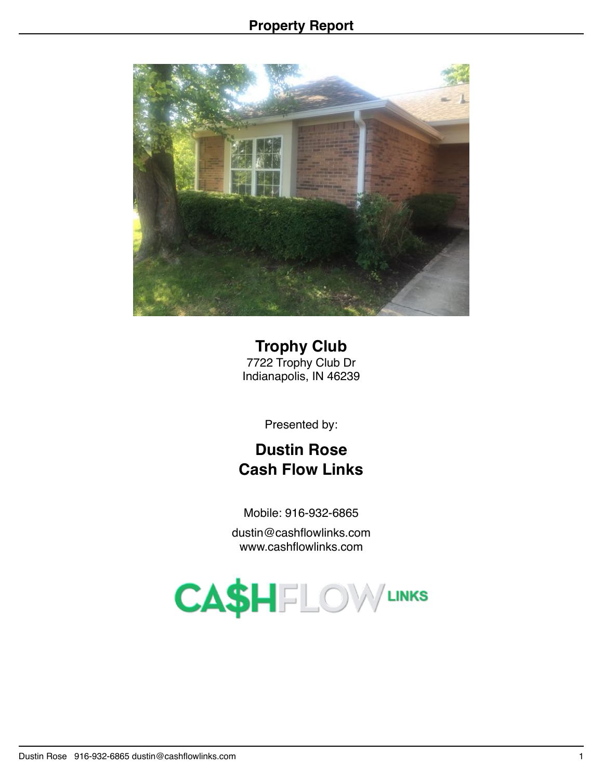

**Trophy Club** 7722 Trophy Club Dr Indianapolis, IN 46239

Presented by:

# **Dustin Rose Cash Flow Links**

Mobile: 916-932-6865

dustin@cashflowlinks.com www.cashflowlinks.com

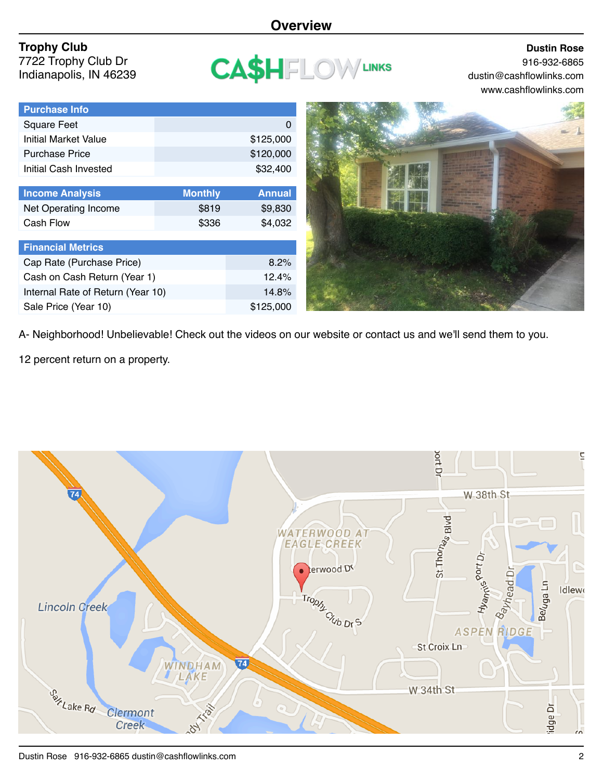### **Overview**

# **Trophy Club**

**Purchase Info**

7722 Trophy Club Dr Indianapolis, IN 46239

| CASHFL | <b>ON VIEWAS</b> |  |
|--------|------------------|--|
|--------|------------------|--|

#### **Dustin Rose** 916-932-6865 dustin@cashflowlinks.com www.cashflowlinks.com

| гиглизс шо                        |                |               |
|-----------------------------------|----------------|---------------|
| Square Feet                       |                | O             |
| <b>Initial Market Value</b>       |                | \$125,000     |
| <b>Purchase Price</b>             |                | \$120,000     |
| Initial Cash Invested             |                | \$32,400      |
|                                   |                |               |
| <b>Income Analysis</b>            | <b>Monthly</b> | <b>Annual</b> |
| Net Operating Income              | \$819          | \$9,830       |
| Cash Flow                         | \$336          | \$4,032       |
|                                   |                |               |
| <b>Financial Metrics</b>          |                |               |
| Cap Rate (Purchase Price)         |                | 8.2%          |
| Cash on Cash Return (Year 1)      | 12.4%          |               |
| Internal Rate of Return (Year 10) |                | 14.8%         |
| Sale Price (Year 10)              |                | \$125,000     |



A- Neighborhood! Unbelievable! Check out the videos on our website or contact us and we'll send them to you.

12 percent return on a property.

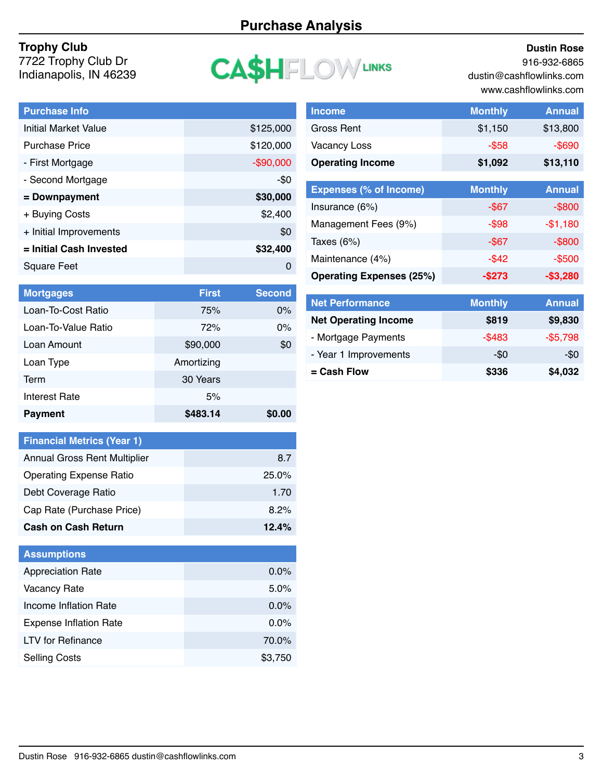# **Purchase Analysis**

#### **Trophy Club**

7722 Trophy Club Dr Indianapolis, IN 46239

# **CA\$HFLOWLINKS**

#### **Dustin Rose**

916-932-6865 dustin@cashflowlinks.com www.cashflowlinks.com

| <b>Purchase Info</b>        |            |
|-----------------------------|------------|
| <b>Initial Market Value</b> | \$125,000  |
| <b>Purchase Price</b>       | \$120,000  |
| - First Mortgage            | $-$90,000$ |
| - Second Mortgage           | -\$0       |
| = Downpayment               | \$30,000   |
| + Buying Costs              | \$2,400    |
| + Initial Improvements      | \$0        |
| = Initial Cash Invested     | \$32,400   |
| Square Feet                 | O          |
|                             |            |

| <b>Income</b>           | <b>Monthly</b> | <b>Annual</b> |
|-------------------------|----------------|---------------|
| Gross Rent              | \$1,150        | \$13,800      |
| <b>Vacancy Loss</b>     | $-$ \$58       | $-$ \$690     |
| <b>Operating Income</b> | \$1,092        | \$13,110      |

| <b>Expenses (% of Income)</b>   | <b>Monthly</b> | <b>Annual</b> |
|---------------------------------|----------------|---------------|
| Insurance (6%)                  | -\$67          | $-$ \$800     |
| Management Fees (9%)            | $-$ \$98       | $-$1,180$     |
| Taxes $(6%)$                    | $-$ \$67       | $-$ \$800     |
| Maintenance (4%)                | $-$ \$42       | $-$500$       |
| <b>Operating Expenses (25%)</b> | -\$273         | $-$3,280$     |

| <b>Mortgages</b>     | <b>First</b> | <b>Second</b> |
|----------------------|--------------|---------------|
| Loan-To-Cost Ratio   | 75%          | $0\%$         |
| Loan-To-Value Ratio  | 72%          | $0\%$         |
| Loan Amount          | \$90,000     | \$0           |
| Loan Type            | Amortizing   |               |
| Term                 | 30 Years     |               |
| <b>Interest Rate</b> | 5%           |               |
| <b>Payment</b>       | \$483.14     | <b>SO.OO</b>  |

| <b>Financial Metrics (Year 1)</b>   |       |
|-------------------------------------|-------|
| <b>Annual Gross Rent Multiplier</b> | 8.7   |
| <b>Operating Expense Ratio</b>      | 25.0% |
| Debt Coverage Ratio                 | 1.70  |
| Cap Rate (Purchase Price)           | 8.2%  |
| <b>Cash on Cash Return</b>          | 12.4% |

| <b>Assumptions</b>            |         |
|-------------------------------|---------|
| <b>Appreciation Rate</b>      | $0.0\%$ |
| <b>Vacancy Rate</b>           | 5.0%    |
| Income Inflation Rate         | 0.0%    |
| <b>Expense Inflation Rate</b> | 0.0%    |
| <b>LTV</b> for Refinance      | 70.0%   |
| <b>Selling Costs</b>          | \$3,750 |

| <b>Net Performance</b>      | <b>Monthly</b> | <b>Annual</b> |
|-----------------------------|----------------|---------------|
| <b>Net Operating Income</b> | \$819          | \$9,830       |
| - Mortgage Payments         | $-$ \$483      | $-$5,798$     |
| - Year 1 Improvements       | -\$0           | -\$0          |
| $=$ Cash Flow               | \$336          | \$4,032       |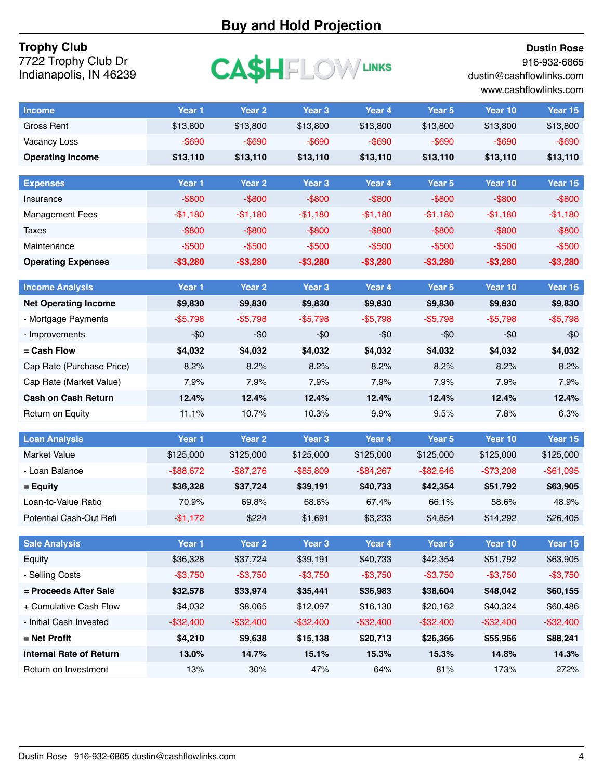# **Buy and Hold Projection**

#### **Dustin Rose**

916-932-6865

dustin@cashflowlinks.com www.cashflowlinks.com

#### **Trophy Club** 7722 Trophy Club Dr Indianapolis, IN 46239

| $\mathsf{CASHELOW}$ Links |  |
|---------------------------|--|
|---------------------------|--|

| <b>Income</b>                   | Year 1            | Year <sub>2</sub> | Year <sub>3</sub> | Year 4       | Year 5            | Year 10      | Year 15           |
|---------------------------------|-------------------|-------------------|-------------------|--------------|-------------------|--------------|-------------------|
| <b>Gross Rent</b>               | \$13,800          | \$13,800          | \$13,800          | \$13,800     | \$13,800          | \$13,800     | \$13,800          |
| <b>Vacancy Loss</b>             | $-$ \$690         | $-$ \$690         | $-$ \$690         | $-$ \$690    | $-$ \$690         | $-$ \$690    | $-$ \$690         |
| <b>Operating Income</b>         | \$13,110          | \$13,110          | \$13,110          | \$13,110     | \$13,110          | \$13,110     | \$13,110          |
| <b>Expenses</b>                 | Year 1            | Year <sub>2</sub> | Year <sub>3</sub> | Year 4       | Year 5            | Year 10      | Year 15           |
| Insurance                       | $-$ \$800         | $-$ \$800         | $-$ \$800         | $-$ \$800    | $-$ \$800         | $-$ \$800    | $-$ \$800         |
| <b>Management Fees</b>          | $-$1,180$         | $-$1,180$         | $-$1,180$         | $-$1,180$    | $-$1,180$         | $-$1,180$    | $-$1,180$         |
| <b>Taxes</b>                    | $-$ \$800         | $-$ \$800         | $-$ \$800         | $-$ \$800    | $-$ \$800         | $-$ \$800    | $-$ \$800         |
| Maintenance                     | $-$ \$500         | $-$ \$500         | $-$ \$500         | $-$ \$500    | $-$ \$500         | $-$500$      | $- $500$          |
| <b>Operating Expenses</b>       | $-$3,280$         | $-$3,280$         | $-$3,280$         | $-$3,280$    | $-$3,280$         | $-$3,280$    | $-$3,280$         |
|                                 |                   |                   |                   |              |                   |              |                   |
| <b>Income Analysis</b>          | Year 1            | Year <sub>2</sub> | Year <sub>3</sub> | Year 4       | Year 5            | Year 10      | Year 15           |
| <b>Net Operating Income</b>     | \$9,830           | \$9,830           | \$9,830           | \$9,830      | \$9,830           | \$9,830      | \$9,830           |
| - Mortgage Payments             | $-$5,798$         | $-$5,798$         | $-$5,798$         | $-$5,798$    | $-$5,798$         | $-$5,798$    | $-$5,798$         |
| - Improvements                  | $-$0$             | $-$0$             | $-$0$             | $-\$0$       | -\$0              | -\$0         | $-$0$             |
| = Cash Flow                     | \$4,032           | \$4,032           | \$4,032           | \$4,032      | \$4,032           | \$4,032      | \$4,032           |
| Cap Rate (Purchase Price)       | 8.2%              | 8.2%              | 8.2%              | 8.2%         | 8.2%              | 8.2%         | 8.2%              |
| Cap Rate (Market Value)         | 7.9%              | 7.9%              | 7.9%              | 7.9%         | 7.9%              | 7.9%         | 7.9%              |
| <b>Cash on Cash Return</b>      | 12.4%             | 12.4%             | 12.4%             | 12.4%        | 12.4%             | 12.4%        | 12.4%             |
| Return on Equity                | 11.1%             | 10.7%             | 10.3%             | 9.9%         | 9.5%              | 7.8%         | 6.3%              |
|                                 |                   |                   |                   |              |                   |              |                   |
| <b>Loan Analysis</b>            | Year <sub>1</sub> | Year <sub>2</sub> | Year <sub>3</sub> | Year 4       | Year 5            | Year 10      | Year 15           |
| <b>Market Value</b>             | \$125,000         | \$125,000         | \$125,000         | \$125,000    | \$125,000         | \$125,000    | \$125,000         |
| - Loan Balance                  | $-$ \$88,672      | $-$ \$87,276      | $-$ \$85,809      | $-$ \$84,267 | $-$ \$82,646      | $-$73,208$   | $-$ \$61,095      |
| = Equity<br>Loan-to-Value Ratio | \$36,328          | \$37,724          | \$39,191          | \$40,733     | \$42,354<br>66.1% | \$51,792     | \$63,905<br>48.9% |
|                                 | 70.9%             | 69.8%<br>\$224    | 68.6%             | 67.4%        |                   | 58.6%        |                   |
| Potential Cash-Out Refi         | $-$1,172$         |                   | \$1,691           | \$3,233      | \$4,854           | \$14,292     | \$26,405          |
| <b>Sale Analysis</b>            | Year 1            | Year 2            | Year 3            | Year 4       | Year 5            | Year 10      | Year 15           |
| Equity                          | \$36,328          | \$37,724          | \$39,191          | \$40,733     | \$42,354          | \$51,792     | \$63,905          |
| - Selling Costs                 | $-$3,750$         | $-$3,750$         | $-$3,750$         | $-$3,750$    | $-$3,750$         | $-$3,750$    | $-$3,750$         |
| = Proceeds After Sale           | \$32,578          | \$33,974          | \$35,441          | \$36,983     | \$38,604          | \$48,042     | \$60,155          |
| + Cumulative Cash Flow          | \$4,032           | \$8,065           | \$12,097          | \$16,130     | \$20,162          | \$40,324     | \$60,486          |
| - Initial Cash Invested         | $-$ \$32,400      | $-$ \$32,400      | $-$ \$32,400      | $-$ \$32,400 | $-$ \$32,400      | $-$ \$32,400 | $-$ \$32,400      |
| $=$ Net Profit                  | \$4,210           | \$9,638           | \$15,138          | \$20,713     | \$26,366          | \$55,966     | \$88,241          |
| <b>Internal Rate of Return</b>  | 13.0%             | 14.7%             | 15.1%             | 15.3%        | 15.3%             | 14.8%        | 14.3%             |
| Return on Investment            | 13%               | 30%               | 47%               | 64%          | 81%               | 173%         | 272%              |
|                                 |                   |                   |                   |              |                   |              |                   |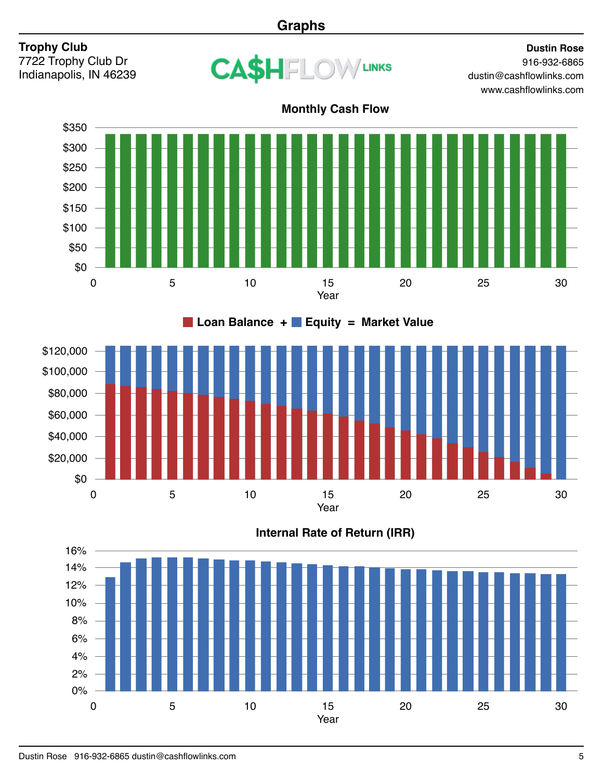# **Graphs**

# **Trophy Club**

7722 Trophy Club Dr Indianapolis, IN 46239



#### **Dustin Rose** 916-932-6865 dustin@cashflowlinks.com www.cashflowlinks.com



30 \$100,000 \$40,000 \$80,000 \$20,000 \$120,000 \$60,000 \$0 0 5 10 15 20 25 Year **Loan Balance + Equity = Market Value**